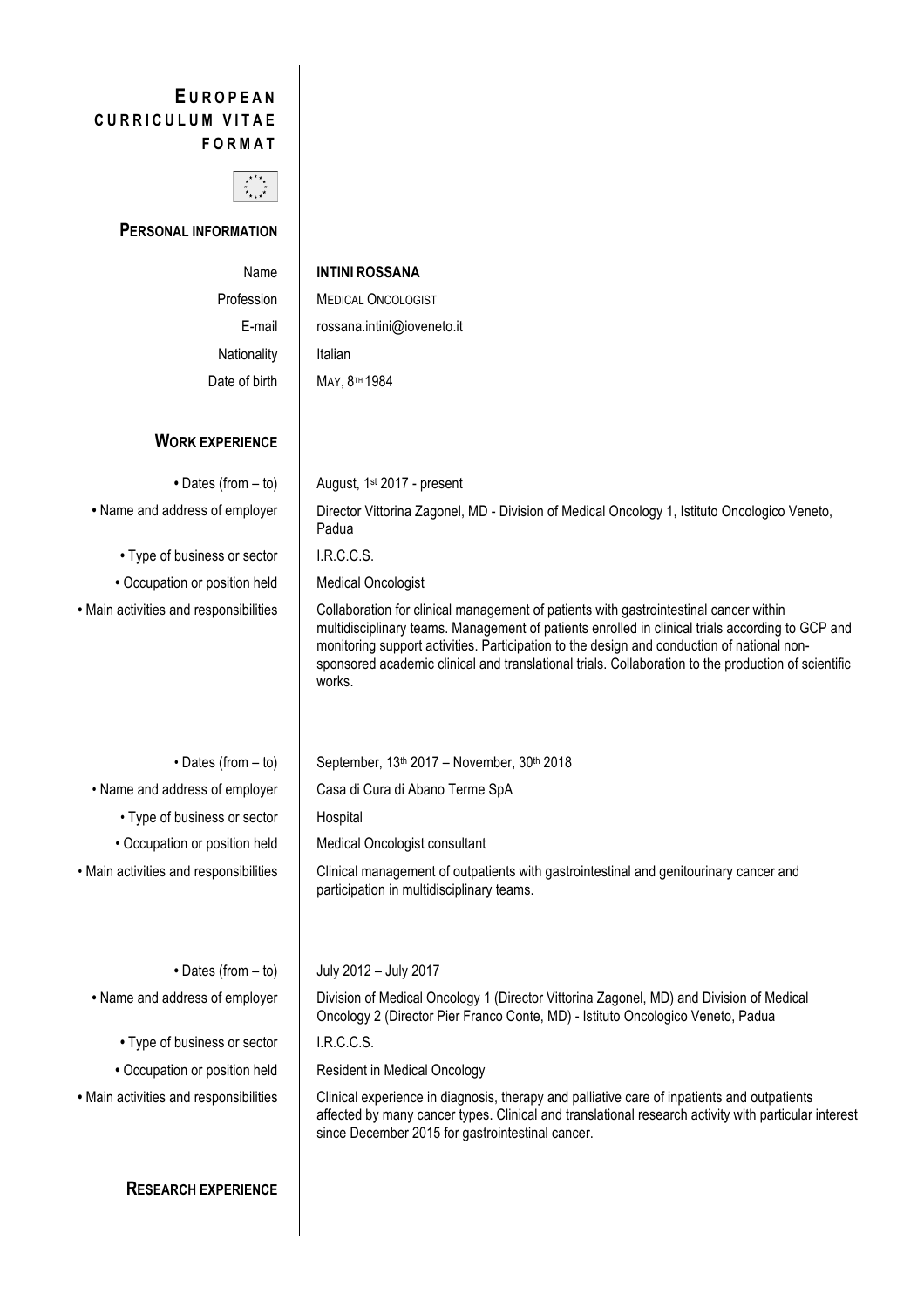## **E UROPEAN CURRICULUM VITAE FORMAT**



**PERSONAL INFORMATION**

| Name                                   | <b>INTINI ROSSANA</b>                                                                                                                                                                                                                                                                                                                                                                                    |
|----------------------------------------|----------------------------------------------------------------------------------------------------------------------------------------------------------------------------------------------------------------------------------------------------------------------------------------------------------------------------------------------------------------------------------------------------------|
| Profession                             | <b>MEDICAL ONCOLOGIST</b>                                                                                                                                                                                                                                                                                                                                                                                |
| E-mail                                 | rossana.intini@ioveneto.it                                                                                                                                                                                                                                                                                                                                                                               |
| Nationality                            | Italian                                                                                                                                                                                                                                                                                                                                                                                                  |
| Date of birth                          | MAY, 8 <sup>TH</sup> 1984                                                                                                                                                                                                                                                                                                                                                                                |
|                                        |                                                                                                                                                                                                                                                                                                                                                                                                          |
| <b>WORK EXPERIENCE</b>                 |                                                                                                                                                                                                                                                                                                                                                                                                          |
| • Dates (from - to)                    | August, 1 <sup>st</sup> 2017 - present                                                                                                                                                                                                                                                                                                                                                                   |
| • Name and address of employer         | Director Vittorina Zagonel, MD - Division of Medical Oncology 1, Istituto Oncologico Veneto,<br>Padua                                                                                                                                                                                                                                                                                                    |
| • Type of business or sector           | I.R.C.C.S.                                                                                                                                                                                                                                                                                                                                                                                               |
| • Occupation or position held          | <b>Medical Oncologist</b>                                                                                                                                                                                                                                                                                                                                                                                |
| · Main activities and responsibilities | Collaboration for clinical management of patients with gastrointestinal cancer within<br>multidisciplinary teams. Management of patients enrolled in clinical trials according to GCP and<br>monitoring support activities. Participation to the design and conduction of national non-<br>sponsored academic clinical and translational trials. Collaboration to the production of scientific<br>works. |
| $\cdot$ Dates (from $-$ to)            | September, 13th 2017 - November, 30th 2018                                                                                                                                                                                                                                                                                                                                                               |
| • Name and address of employer         | Casa di Cura di Abano Terme SpA                                                                                                                                                                                                                                                                                                                                                                          |
| • Type of business or sector           | Hospital                                                                                                                                                                                                                                                                                                                                                                                                 |
| • Occupation or position held          | Medical Oncologist consultant                                                                                                                                                                                                                                                                                                                                                                            |
| · Main activities and responsibilities | Clinical management of outpatients with gastrointestinal and genitourinary cancer and<br>participation in multidisciplinary teams.                                                                                                                                                                                                                                                                       |
| • Dates (from $-$ to)                  | July 2012 - July 2017                                                                                                                                                                                                                                                                                                                                                                                    |
| • Name and address of employer         | Division of Medical Oncology 1 (Director Vittorina Zagonel, MD) and Division of Medical<br>Oncology 2 (Director Pier Franco Conte, MD) - Istituto Oncologico Veneto, Padua                                                                                                                                                                                                                               |
| • Type of business or sector           | I.R.C.C.S.                                                                                                                                                                                                                                                                                                                                                                                               |
| • Occupation or position held          | <b>Resident in Medical Oncology</b>                                                                                                                                                                                                                                                                                                                                                                      |
| · Main activities and responsibilities | Clinical experience in diagnosis, therapy and palliative care of inpatients and outpatients                                                                                                                                                                                                                                                                                                              |

since December 2015 for gastrointestinal cancer.

affected by many cancer types. Clinical and translational research activity with particular interest

**RESEARCH EXPERIENCE**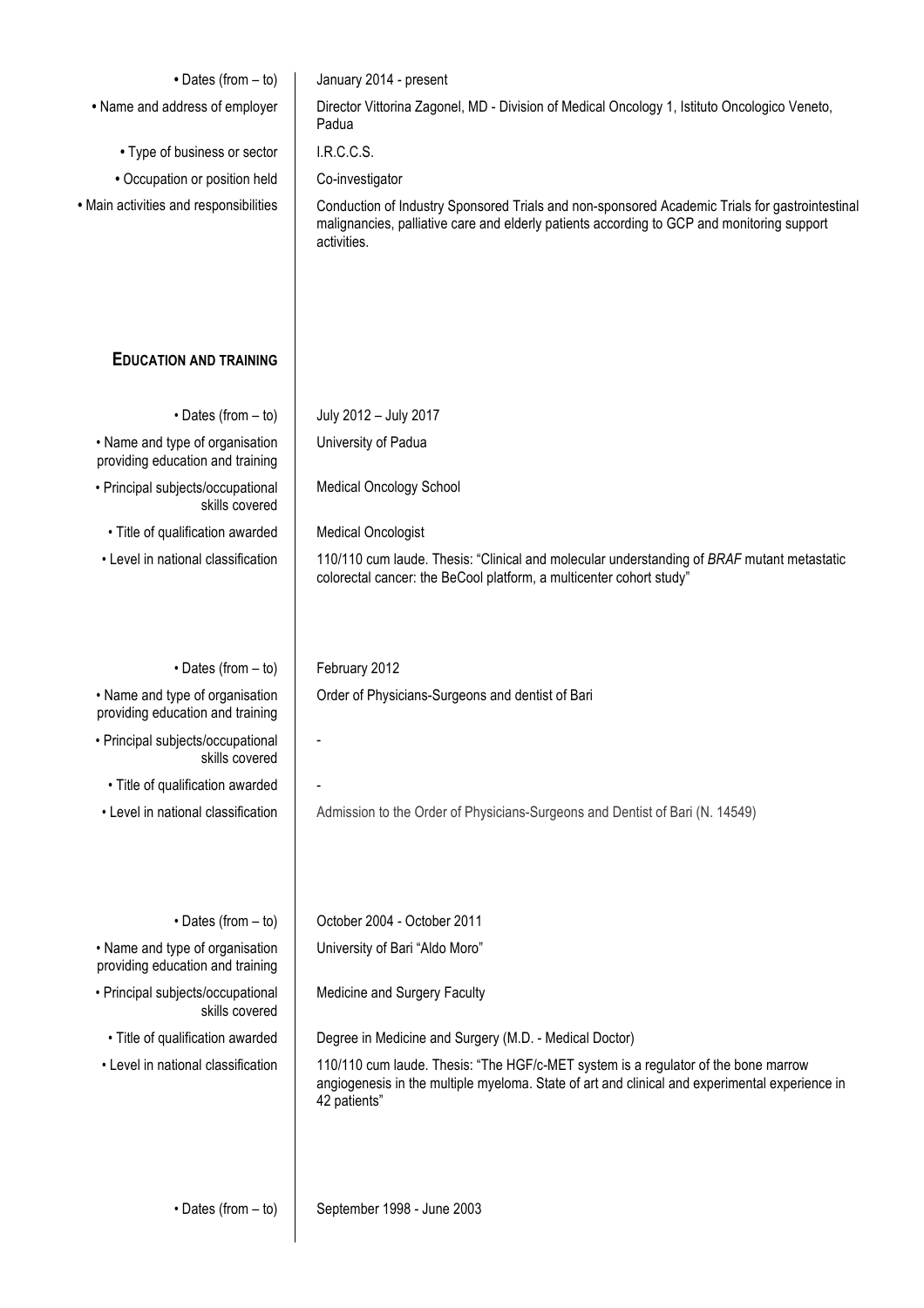| • Dates (from - to)                                                 | January 2014 - present                                                                                                                                                                                      |
|---------------------------------------------------------------------|-------------------------------------------------------------------------------------------------------------------------------------------------------------------------------------------------------------|
| • Name and address of employer                                      | Director Vittorina Zagonel, MD - Division of Medical Oncology 1, Istituto Oncologico Veneto,<br>Padua                                                                                                       |
| • Type of business or sector                                        | I.R.C.C.S.                                                                                                                                                                                                  |
| • Occupation or position held                                       | Co-investigator                                                                                                                                                                                             |
| • Main activities and responsibilities                              | Conduction of Industry Sponsored Trials and non-sponsored Academic Trials for gastrointestinal<br>malignancies, palliative care and elderly patients according to GCP and monitoring support<br>activities. |
| <b>EDUCATION AND TRAINING</b>                                       |                                                                                                                                                                                                             |
| $\cdot$ Dates (from $-$ to)                                         | July 2012 - July 2017                                                                                                                                                                                       |
| • Name and type of organisation<br>providing education and training | University of Padua                                                                                                                                                                                         |
| • Principal subjects/occupational<br>skills covered                 | <b>Medical Oncology School</b>                                                                                                                                                                              |
| • Title of qualification awarded                                    | <b>Medical Oncologist</b>                                                                                                                                                                                   |
| • Level in national classification                                  | 110/110 cum laude. Thesis: "Clinical and molecular understanding of BRAF mutant metastatic<br>colorectal cancer: the BeCool platform, a multicenter cohort study"                                           |
| $\cdot$ Dates (from $-$ to)                                         | February 2012                                                                                                                                                                                               |
| • Name and type of organisation<br>providing education and training | Order of Physicians-Surgeons and dentist of Bari                                                                                                                                                            |
| • Principal subjects/occupational<br>skills covered                 |                                                                                                                                                                                                             |
| • Title of qualification awarded                                    |                                                                                                                                                                                                             |
| • Level in national classification                                  | Admission to the Order of Physicians-Surgeons and Dentist of Bari (N. 14549)                                                                                                                                |
| $\cdot$ Dates (from $-$ to)                                         | October 2004 - October 2011                                                                                                                                                                                 |
| • Name and type of organisation<br>providing education and training | University of Bari "Aldo Moro"                                                                                                                                                                              |
| • Principal subjects/occupational<br>skills covered                 | Medicine and Surgery Faculty                                                                                                                                                                                |
| • Title of qualification awarded                                    | Degree in Medicine and Surgery (M.D. - Medical Doctor)                                                                                                                                                      |
| • Level in national classification                                  | 110/110 cum laude. Thesis: "The HGF/c-MET system is a regulator of the bone marrow<br>angiogenesis in the multiple myeloma. State of art and clinical and experimental experience in<br>42 patients"        |
| $\cdot$ Dates (from $-$ to)                                         | September 1998 - June 2003                                                                                                                                                                                  |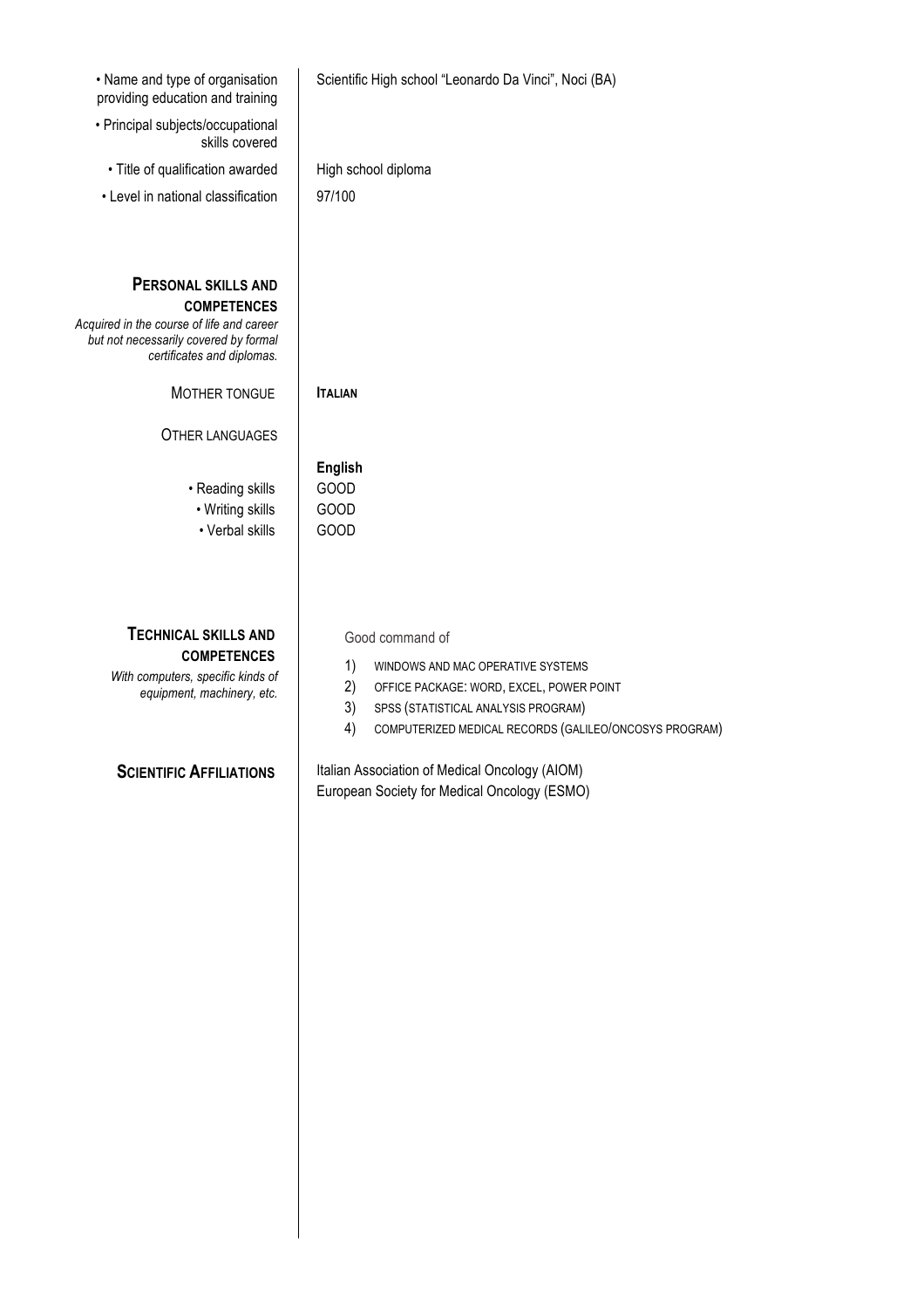| • Name and type of organisation<br>providing education and training                                                                                                  | Scientific High school "Leonardo Da Vinci", Noci (BA)                                                                                                                                                                     |
|----------------------------------------------------------------------------------------------------------------------------------------------------------------------|---------------------------------------------------------------------------------------------------------------------------------------------------------------------------------------------------------------------------|
| • Principal subjects/occupational<br>skills covered                                                                                                                  |                                                                                                                                                                                                                           |
| · Title of qualification awarded                                                                                                                                     | High school diploma                                                                                                                                                                                                       |
| • Level in national classification                                                                                                                                   | 97/100                                                                                                                                                                                                                    |
| <b>PERSONAL SKILLS AND</b><br><b>COMPETENCES</b><br>Acquired in the course of life and career<br>but not necessarily covered by formal<br>certificates and diplomas. |                                                                                                                                                                                                                           |
| MOTHER TONGUE                                                                                                                                                        | <b>ITALIAN</b>                                                                                                                                                                                                            |
| <b>OTHER LANGUAGES</b>                                                                                                                                               | <b>English</b>                                                                                                                                                                                                            |
| • Reading skills<br>• Writing skills<br>• Verbal skills                                                                                                              | GOOD<br><b>GOOD</b><br>GOOD                                                                                                                                                                                               |
| <b>TECHNICAL SKILLS AND</b><br><b>COMPETENCES</b><br>With computers, specific kinds of<br>equipment, machinery, etc.                                                 | Good command of<br>1)<br>WINDOWS AND MAC OPERATIVE SYSTEMS<br>2)<br>OFFICE PACKAGE: WORD, EXCEL, POWER POINT<br>3)<br>SPSS (STATISTICAL ANALYSIS PROGRAM)<br>4)<br>COMPUTERIZED MEDICAL RECORDS (GALILEO/ONCOSYS PROGRAM) |
| <b>SCIENTIFIC AFFILIATIONS</b>                                                                                                                                       | Italian Association of Medical Oncology (AIOM)<br>European Society for Medical Oncology (ESMO)                                                                                                                            |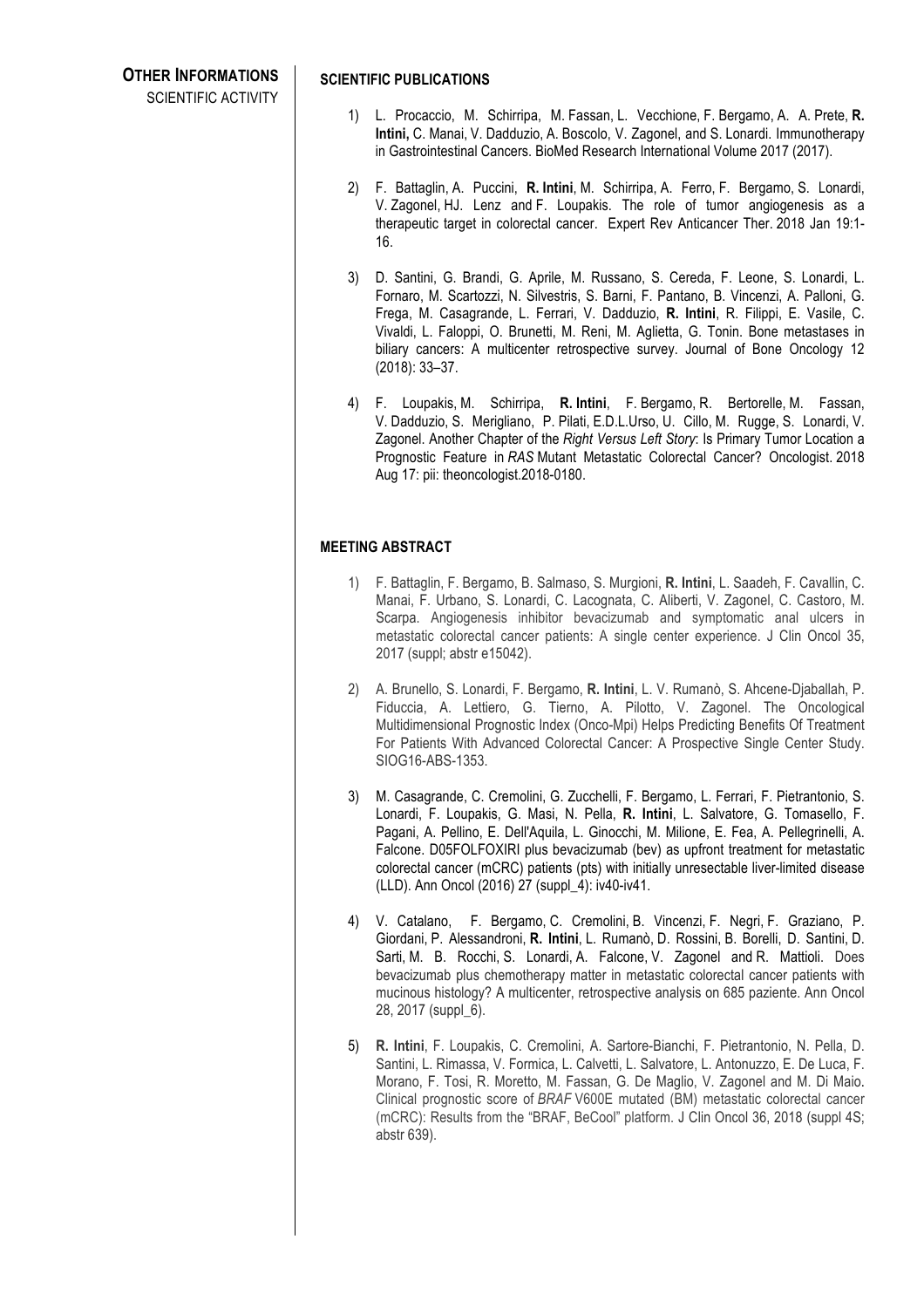SCIENTIFIC ACTIVITY

## **SCIENTIFIC PUBLICATIONS**

- 1) L. Procaccio, M. Schirripa, M. Fassan, L. Vecchione, F. Bergamo, A. A. Prete, **R. Intini,** C. Manai, V. Dadduzio, A. Boscolo, V. Zagonel, and S. Lonardi. Immunotherapy in Gastrointestinal Cancers. BioMed Research International Volume 2017 (2017).
- 2) F. Battaglin, A. Puccini, **R. Intini**, M. Schirripa, A. Ferro, F. Bergamo, S. Lonardi, V. Zagonel, HJ. Lenz and F. Loupakis. The role of tumor angiogenesis as a therapeutic target in colorectal cancer. Expert Rev Anticancer Ther. 2018 Jan 19:1- 16.
- 3) D. Santini, G. Brandi, G. Aprile, M. Russano, S. Cereda, F. Leone, S. Lonardi, L. Fornaro, M. Scartozzi, N. Silvestris, S. Barni, F. Pantano, B. Vincenzi, A. Palloni, G. Frega, M. Casagrande, L. Ferrari, V. Dadduzio, **R. Intini**, R. Filippi, E. Vasile, C. Vivaldi, L. Faloppi, O. Brunetti, M. Reni, M. Aglietta, G. Tonin. Bone metastases in biliary cancers: A multicenter retrospective survey. Journal of Bone Oncology 12 (2018): 33–37.
- 4) F. Loupakis, M. Schirripa, **R. Intini**, F. Bergamo, R. Bertorelle, M. Fassan, V. Dadduzio, S. Merigliano, P. Pilati, E.D.L.Urso, U. Cillo, M. Rugge, S. Lonardi, V. Zagonel. Another Chapter of the *Right Versus Left Story*: Is Primary Tumor Location a Prognostic Feature in *RAS* Mutant Metastatic Colorectal Cancer? Oncologist. 2018 Aug 17: pii: theoncologist.2018-0180.

## **MEETING ABSTRACT**

- 1) F. Battaglin, F. Bergamo, B. Salmaso, S. Murgioni, **R. Intini**, L. Saadeh, F. Cavallin, C. Manai, F. Urbano, S. Lonardi, C. Lacognata, C. Aliberti, V. Zagonel, C. Castoro, M. Scarpa. Angiogenesis inhibitor bevacizumab and symptomatic anal ulcers in metastatic colorectal cancer patients: A single center experience. J Clin Oncol 35, 2017 (suppl; abstr e15042).
- 2) A. Brunello, S. Lonardi, F. Bergamo, **R. Intini**, L. V. Rumanò, S. Ahcene-Djaballah, P. Fiduccia, A. Lettiero, G. Tierno, A. Pilotto, V. Zagonel. The Oncological Multidimensional Prognostic Index (Onco-Mpi) Helps Predicting Benefits Of Treatment For Patients With Advanced Colorectal Cancer: A Prospective Single Center Study. SIOG16-ABS-1353.
- 3) M. Casagrande, C. Cremolini, G. Zucchelli, F. Bergamo, L. Ferrari, F. Pietrantonio, S. Lonardi, F. Loupakis, G. Masi, N. Pella, **R. Intini**, L. Salvatore, G. Tomasello, F. Pagani, A. Pellino, E. Dell'Aquila, L. Ginocchi, M. Milione, E. Fea, A. Pellegrinelli, A. Falcone. D05FOLFOXIRI plus bevacizumab (bev) as upfront treatment for metastatic colorectal cancer (mCRC) patients (pts) with initially unresectable liver-limited disease (LLD). Ann Oncol (2016) 27 (suppl\_4): iv40-iv41.
- 4) V. Catalano, F. Bergamo, C. Cremolini, B. Vincenzi, F. Negri, F. Graziano, P. Giordani, P. Alessandroni, **R. Intini**, L. Rumanò, D. Rossini, B. Borelli, D. Santini, D. Sarti, M. B. Rocchi, S. Lonardi, A. Falcone, V. Zagonel and R. Mattioli. Does bevacizumab plus chemotherapy matter in metastatic colorectal cancer patients with mucinous histology? A multicenter, retrospective analysis on 685 paziente. Ann Oncol 28, 2017 (suppl\_6).
- 5) **R. Intini**, F. Loupakis, C. Cremolini, A. Sartore-Bianchi, F. Pietrantonio, N. Pella, D. Santini, L. Rimassa, V. Formica, L. Calvetti, L. Salvatore, L. Antonuzzo, E. De Luca, F. Morano, F. Tosi, R. Moretto, M. Fassan, G. De Maglio, V. Zagonel and M. Di Maio. Clinical prognostic score of *BRAF* V600E mutated (BM) metastatic colorectal cancer (mCRC): Results from the "BRAF, BeCool" platform. J Clin Oncol 36, 2018 (suppl 4S; abstr 639).